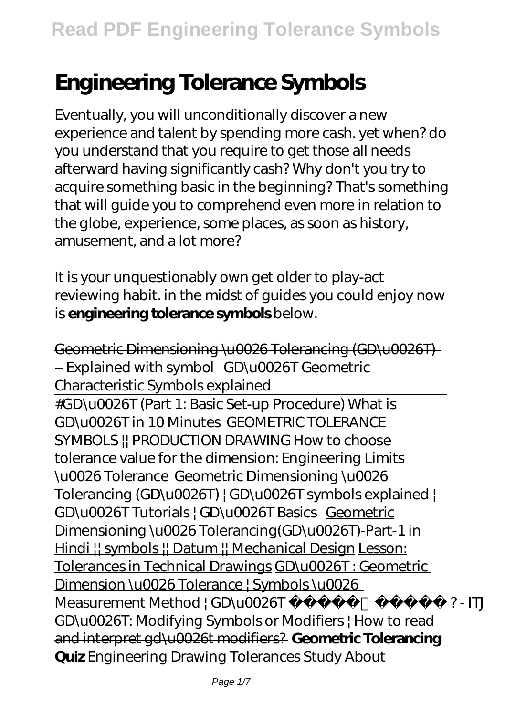# **Engineering Tolerance Symbols**

Eventually, you will unconditionally discover a new experience and talent by spending more cash. yet when? do you understand that you require to get those all needs afterward having significantly cash? Why don't you try to acquire something basic in the beginning? That's something that will guide you to comprehend even more in relation to the globe, experience, some places, as soon as history, amusement, and a lot more?

It is your unquestionably own get older to play-act reviewing habit. in the midst of guides you could enjoy now is **engineering tolerance symbols** below.

Geometric Dimensioning \u0026 Tolerancing (GD\u0026T) – Explained with symbol GD\u0026T Geometric Characteristic Symbols explained #GD\u0026T (Part 1: Basic Set-up Procedure) *What is GD\u0026T in 10 Minutes GEOMETRIC TOLERANCE SYMBOLS || PRODUCTION DRAWING How to choose tolerance value for the dimension: Engineering Limits \u0026 Tolerance* Geometric Dimensioning \u0026 Tolerancing (GD\u0026T) | GD\u0026T symbols explained | GD\u0026T Tutorials | GD\u0026T Basics Geometric Dimensioning \u0026 Tolerancing(GD\u0026T)-Part-1 in Hindi !! symbols !! Datum !! Mechanical Design Lesson: Tolerances in Technical Drawings GD\u0026T : Geometric Dimension \u0026 Tolerance | Symbols \u0026 Measurement Method | GD\u0026T ?- ITJ GD\u0026T: Modifying Symbols or Modifiers | How to read and interpret gd\u0026t modifiers? **Geometric Tolerancing Quiz** Engineering Drawing Tolerances *Study About*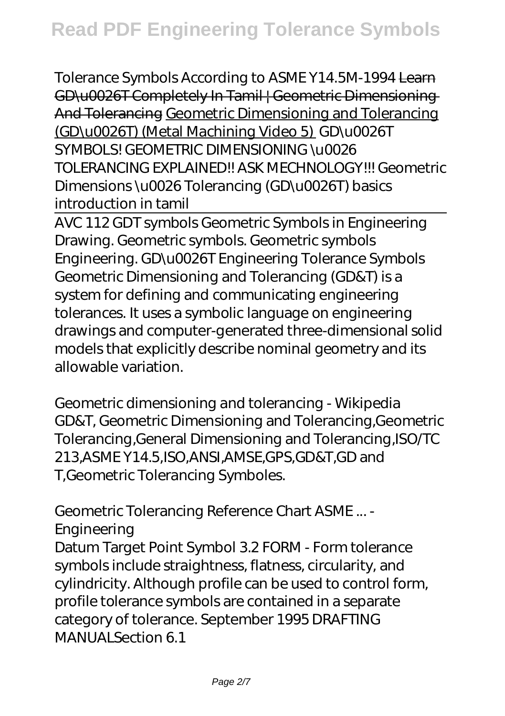*Tolerance Symbols According to ASME Y14.5M-1994* Learn GD\u0026T Completely In Tamil | Geometric Dimensioning And Tolerancing Geometric Dimensioning and Tolerancing (GD\u0026T) (Metal Machining Video 5) GD\u0026T SYMBOLS! GEOMETRIC DIMENSIONING \u0026 TOLERANCING EXPLAINED!! ASK MECHNOLOGY!!! *Geometric Dimensions \u0026 Tolerancing (GD\u0026T) basics introduction in tamil*

AVC 112 GDT symbols Geometric Symbols in Engineering Drawing. Geometric symbols. Geometric symbols Engineering. GD\u0026T Engineering Tolerance Symbols Geometric Dimensioning and Tolerancing (GD&T) is a system for defining and communicating engineering tolerances. It uses a symbolic language on engineering drawings and computer-generated three-dimensional solid models that explicitly describe nominal geometry and its allowable variation.

Geometric dimensioning and tolerancing - Wikipedia GD&T, Geometric Dimensioning and Tolerancing,Geometric Tolerancing,General Dimensioning and Tolerancing,ISO/TC 213,ASME Y14.5,ISO,ANSI,AMSE,GPS,GD&T,GD and T,Geometric Tolerancing Symboles.

Geometric Tolerancing Reference Chart ASME ... - Engineering

Datum Target Point Symbol 3.2 FORM - Form tolerance symbols include straightness, flatness, circularity, and cylindricity. Although profile can be used to control form, profile tolerance symbols are contained in a separate category of tolerance. September 1995 DRAFTING MANUALSection 6.1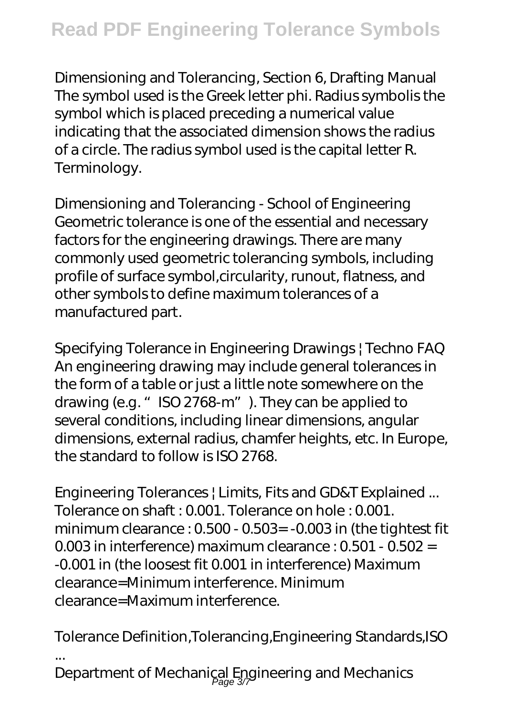Dimensioning and Tolerancing, Section 6, Drafting Manual The symbol used is the Greek letter phi. Radius symbolis the symbol which is placed preceding a numerical value indicating that the associated dimension shows the radius of a circle. The radius symbol used is the capital letter R. Terminology.

Dimensioning and Tolerancing - School of Engineering Geometric tolerance is one of the essential and necessary factors for the engineering drawings. There are many commonly used geometric tolerancing symbols, including profile of surface symbol,circularity, runout, flatness, and other symbols to define maximum tolerances of a manufactured part.

Specifying Tolerance in Engineering Drawings | Techno FAQ An engineering drawing may include general tolerances in the form of a table or just a little note somewhere on the drawing (e.g. "ISO 2768-m"). They can be applied to several conditions, including linear dimensions, angular dimensions, external radius, chamfer heights, etc. In Europe, the standard to follow is ISO 2768.

Engineering Tolerances | Limits, Fits and GD&T Explained ... Tolerance on shaft : 0.001. Tolerance on hole : 0.001. minimum clearance : 0.500 - 0.503= -0.003 in (the tightest fit 0.003 in interference) maximum clearance : 0.501 - 0.502 = -0.001 in (the loosest fit 0.001 in interference) Maximum clearance=Minimum interference. Minimum clearance=Maximum interference.

Tolerance Definition,Tolerancing,Engineering Standards,ISO ... Department of Mechanical Engineering and Mechanics<br>age 37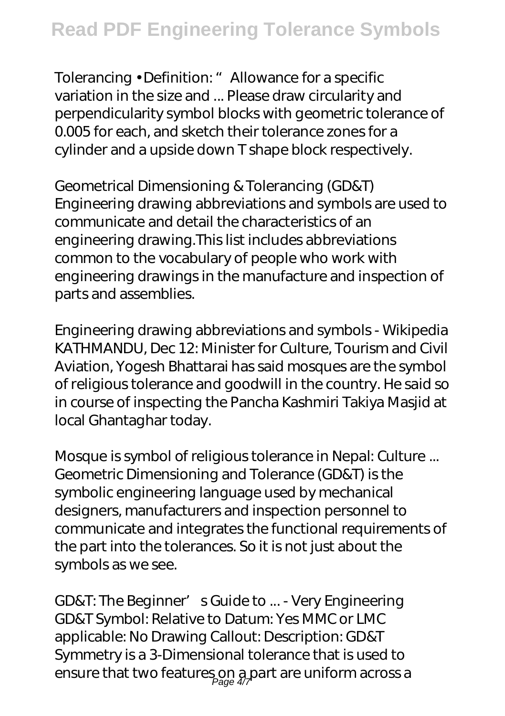Tolerancing • Definition: " Allowance for a specific variation in the size and ... Please draw circularity and perpendicularity symbol blocks with geometric tolerance of 0.005 for each, and sketch their tolerance zones for a cylinder and a upside down T shape block respectively.

Geometrical Dimensioning & Tolerancing (GD&T) Engineering drawing abbreviations and symbols are used to communicate and detail the characteristics of an engineering drawing.This list includes abbreviations common to the vocabulary of people who work with engineering drawings in the manufacture and inspection of parts and assemblies.

Engineering drawing abbreviations and symbols - Wikipedia KATHMANDU, Dec 12: Minister for Culture, Tourism and Civil Aviation, Yogesh Bhattarai has said mosques are the symbol of religious tolerance and goodwill in the country. He said so in course of inspecting the Pancha Kashmiri Takiya Masjid at local Ghantaghar today.

Mosque is symbol of religious tolerance in Nepal: Culture ... Geometric Dimensioning and Tolerance (GD&T) is the symbolic engineering language used by mechanical designers, manufacturers and inspection personnel to communicate and integrates the functional requirements of the part into the tolerances. So it is not just about the symbols as we see.

GD&T: The Beginner's Guide to ... - Very Engineering GD&T Symbol: Relative to Datum: Yes MMC or LMC applicable: No Drawing Callout: Description: GD&T Symmetry is a 3-Dimensional tolerance that is used to ensure that two features on a part are uniform across a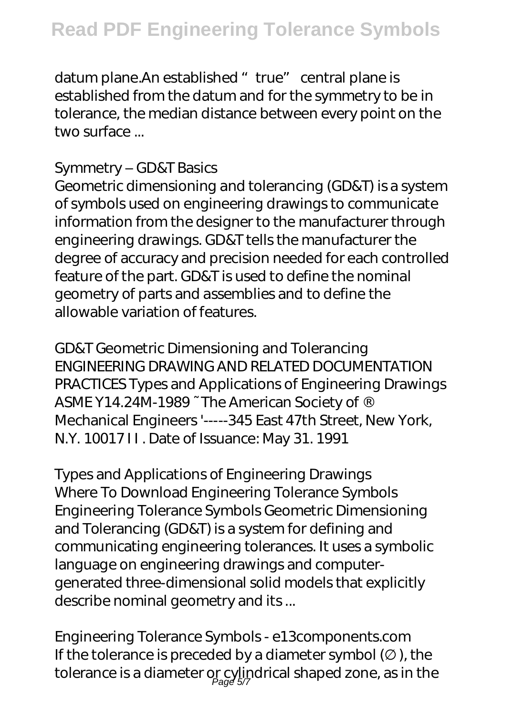datum plane.An established "true" central plane is established from the datum and for the symmetry to be in tolerance, the median distance between every point on the two surface ...

#### Symmetry – GD&T Basics

Geometric dimensioning and tolerancing (GD&T) is a system of symbols used on engineering drawings to communicate information from the designer to the manufacturer through engineering drawings. GD&T tells the manufacturer the degree of accuracy and precision needed for each controlled feature of the part. GD&T is used to define the nominal geometry of parts and assemblies and to define the allowable variation of features.

GD&T Geometric Dimensioning and Tolerancing ENGINEERING DRAWING AND RELATED DOCUMENTATION PRACTICES Types and Applications of Engineering Drawings ASME Y14.24M-1989 ~ The American Society of ® Mechanical Engineers '-----345 East 47th Street, New York, N.Y. 10017 I I . Date of Issuance: May 31. 1991

Types and Applications of Engineering Drawings Where To Download Engineering Tolerance Symbols Engineering Tolerance Symbols Geometric Dimensioning and Tolerancing (GD&T) is a system for defining and communicating engineering tolerances. It uses a symbolic language on engineering drawings and computergenerated three-dimensional solid models that explicitly describe nominal geometry and its ...

Engineering Tolerance Symbols - e13components.com If the tolerance is preceded by a diameter symbol  $($ ), the tolerance is a diameter or cylindrical shaped zone, as in the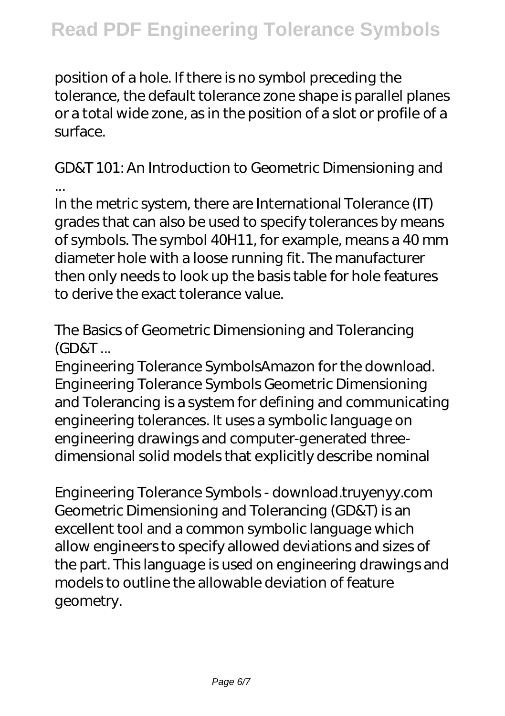position of a hole. If there is no symbol preceding the tolerance, the default tolerance zone shape is parallel planes or a total wide zone, as in the position of a slot or profile of a surface.

GD&T 101: An Introduction to Geometric Dimensioning and ...

In the metric system, there are International Tolerance (IT) grades that can also be used to specify tolerances by means of symbols. The symbol 40H11, for example, means a 40 mm diameter hole with a loose running fit. The manufacturer then only needs to look up the basis table for hole features to derive the exact tolerance value.

The Basics of Geometric Dimensioning and Tolerancing (GD&T ...

Engineering Tolerance SymbolsAmazon for the download. Engineering Tolerance Symbols Geometric Dimensioning and Tolerancing is a system for defining and communicating engineering tolerances. It uses a symbolic language on engineering drawings and computer-generated threedimensional solid models that explicitly describe nominal

Engineering Tolerance Symbols - download.truyenyy.com Geometric Dimensioning and Tolerancing (GD&T) is an excellent tool and a common symbolic language which allow engineers to specify allowed deviations and sizes of the part. This language is used on engineering drawings and models to outline the allowable deviation of feature geometry.